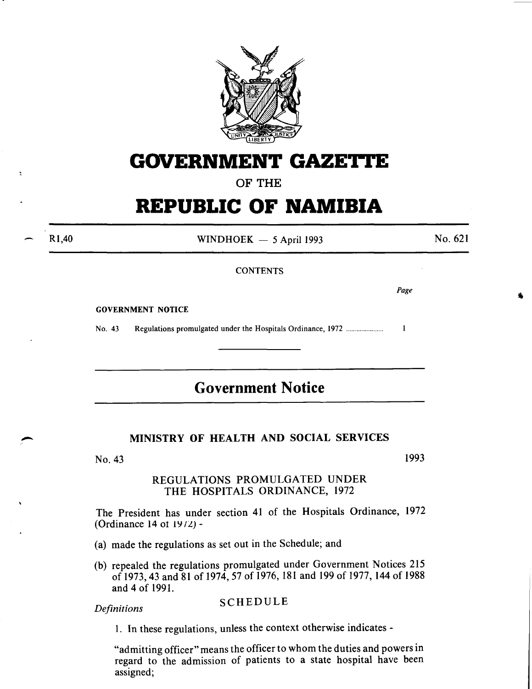

## **GOVERNMENT GAZETTE**

## OF THE

# **REPUBLIC OF NAMIBIA**

Rl,40

 $\ddot{\phantom{a}}$ 

WINDHOEK  $-$  5 April 1993

No. 621

## **CONTENTS**

*Page* 

GOVERNMENT NOTICE

No. 43 Regulations promulgated under the Hospitals Ordinance, 1972 ..................... .  $\mathbf{1}$ 

## **Government Notice**

## MINISTRY OF HEALTH AND SOCIAL SERVICES

No. 43

1993

## REGULATIONS PROMULGATED UNDER THE HOSPITALS ORDINANCE, 1972

The President has under section 41 of the Hospitals Ordinance, 1972 (Ordinance 14 ot  $19/2$ ) -

- (a) made the regulations as set out in the Schedule; and
- (b) repealed the regulations promulgated under Government Notices 215 of 1973,43 and 81 of 1974,57 of 1976, 181 and 199 of 1977, 144 of 1988 and 4 of 1991.

**Definitions SCHEDULE** 

1. In these regulations, unless the context otherwise indicates -

"admitting officer" means the officer to whom the duties and powers in regard to the admission of patients to a state hospital have been assigned;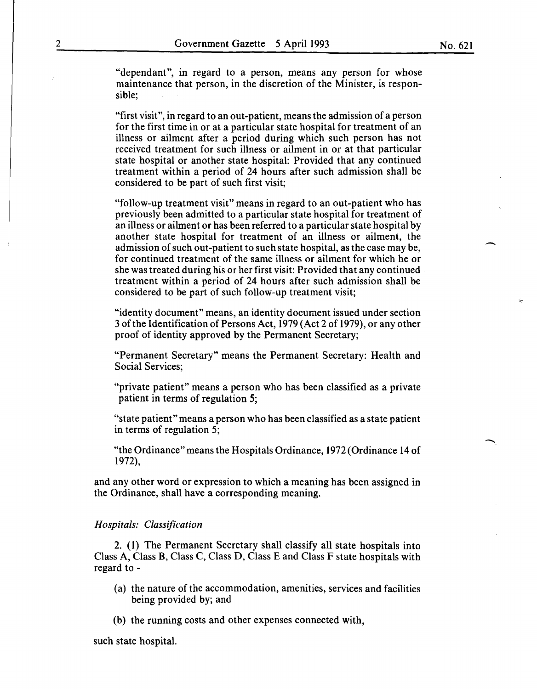"dependant", in regard to a person, means any person for whose maintenance that person, in the discretion of the Minister, is responsible;

"first visit", in regard to an out-patient, means the admission of a person for the first time in or at a particular state hospital for treatment of an illness or ailment after a period during which such person has not received treatment for such illness or ailment in or at that particular state hospital or another state hospital: Provided that any continued treatment within a period of 24 hours after such admission shall be considered to be part of such first visit;

"follow-up treatment visit" means in regard to an out-patient who has previously been admitted to a particular state hospital for treatment of an illness or ailment or has been referred to a particular state hospital by another state hospital for treatment of an illness or ailment, the admission of such out-patient to such state hospital, as the case may be, for continued treatment of the same illness or ailment for which he or she was treated during his or her first visit: Provided that any continued treatment within a period of 24 hours after such admission shall be considered to be part of such follow-up treatment visit;

"identity document" means, an identity document issued under section 3 of the Identification of Persons Act, 1979 (Act 2 of 1979), or any other proof of identity approved by the Permanent Secretary;

"Permanent Secretary" means the Permanent Secretary: Health and Social Services;

"private patient" means a person who has been classified as a private patient in terms of regulation *5;* 

"state patient" means a person who has been classified as a state patient in terms of regulation 5;

"the Ordinance" means the Hospitals Ordinance, 1972 (Ordinance 14 of 1972),

and any other word or expression to which a meaning has been assigned in the Ordinance, shall have a corresponding meaning.

## *Hospitals: Classification*

2. (I) The Permanent Secretary shall classify all state hospitals into Class A, Class B, Class C, Class D, Class E and Class F state hospitals with regard to-

- (a) the nature of the accommodation, amenities, services and facilities being provided by; and
- (b) the running costs and other expenses connected with,

such state hospital.

-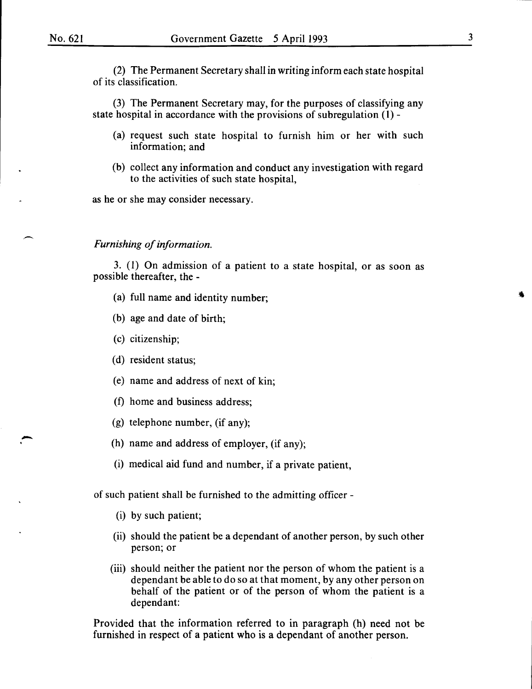**.** -

(2) The Permanent Secretary shall in writing inform each state hospital of its classification.

(3) The Permanent Secretary may, for the purposes of classifying any state hospital in accordance with the provisions of subregulation (I)-

- (a) request such state hospital to furnish him or her with such information; and
- (b) collect any information and conduct any investigation with regard to the activities of such state hospital,

as he or she may consider necessary.

## *Furnishing of information.*

3. (I) On admission of a patient to a state hospital, or as soon as possible thereafter, the -

- (a) full name and identity number;
- (b) age and date of birth;
- (c) citizenship;
- (d) resident status;
- (e) name and address of next of kin;
- (f) home and business address;
- (g) telephone number, (if any);
- (h) name and address of employer, (if any);
- (i) medical aid fund and number, if a private patient,

of such patient shall be furnished to the admitting officer -

- (i) by such patient;
- (ii) should the patient be a dependant of another person, by such other person; or
- (iii) should neither the patient nor the person of whom the patient is a dependant be able to do so at that moment, by any other person on behalf of the patient or of the person of whom the patient is a dependant:

Provided that the information referred to in paragraph (h) need not be furnished in respect of a patient who is a dependant of another person.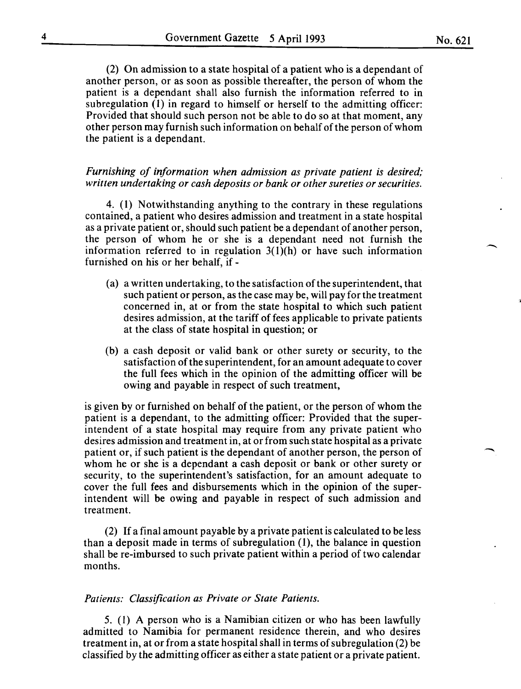(2) On admission to a state hospital of a patient who is a dependant of another person, or as soon as possible thereafter, the person of whom the patient is a dependant shall also furnish the information referred to in subregulation (I) in regard to himself or herself to the admitting officer: Provided that should such person not be able to do so at that moment, any other person may furnish such information on behalf of the person of whom the patient is a dependant.

## *Furnishing of information when admission as private patient is desired; written undertaking or cash deposits or bank or other sureties or securities.*

4. (I) Notwithstanding anything to the contrary in these regulations contained, a patient who desires admission and treatment in a state hospital as a private patient or, should such patient be a dependant of another person, the person of whom he or she is a dependant need not furnish the information referred to in regulation  $3(1)(h)$  or have such information furnished on his or her behalf, if -

- (a) a written undertaking, to the satisfaction of the superintendent, that such patient or person, as the case may be, will pay for the treatment concerned in, at or from the state hospital to which such patient desires admission, at the tariff of fees applicable to private patients at the class of state hospital in question; or
- (b) a cash deposit or valid bank or other surety or security, to the satisfaction of the superintendent, for an amount adequate to cover the full fees which in the opinion of the admitting officer will be owing and payable in respect of such treatment,

is given by or furnished on behalf of the patient, or the person of whom the patient is a dependant, to the admitting officer: Provided that the superintendent of a state hospital may require from any private patient who desires admission and treatment in, at or from such state hospital as a private patient or, if such patient is the dependant of another person, the person of whom he or she is a dependant a cash deposit or bank or other surety or security, to the superintendent's satisfaction, for an amount adequate to cover the full fees and disbursements which in the opinion of the superintendent will be owing and payable in respect of such admission and treatment.

(2) If a final amount payable by a private patient is calculated to be less than a deposit made in terms of subregulation (1), the balance in question shall be re-imbursed to such private patient within a period of two calendar months.

## *Patients: Classification as Private or State Patients.*

5. (1) A person who is a Namibian citizen or who has been lawfully admitted to Namibia for permanent residence therein, and who desires treatment in, at or from a state hospital shall in terms of subregulation (2) be classified by the admitting officer as either a state patient or a private patient.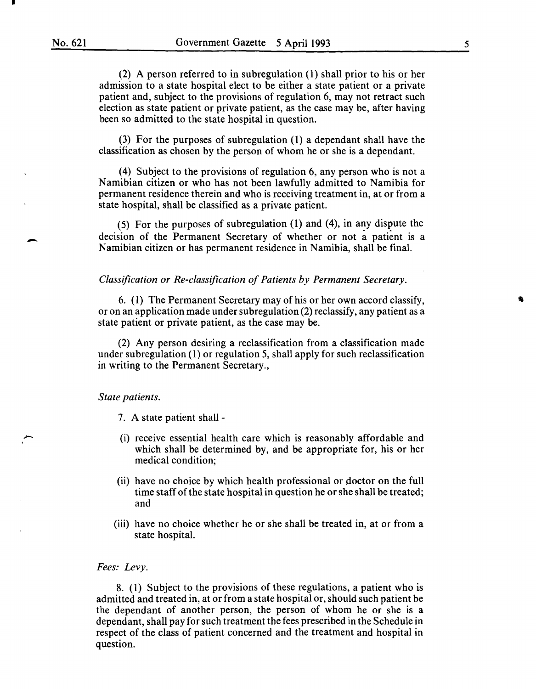$\overline{\phantom{a}}$ 

(2) A person referred to in subregulation (1) shall prior to his or her admission to a state hospital elect to be either a state patient or a private patient and, subject to the provisions of regulation 6, may not retract such election as state patient or private patient, as the case may be, after having been so admitted to the state hospital in question.

(3) For the purposes of subregulation (1) a dependant shall have the classification as chosen by the person of whom he or she is a dependant.

(4) Subject to the provisions of regulation 6, any person who is not a Namibian citizen or who has not been lawfully admitted to Namibia for permanent residence therein and who is receiving treatment in, at or from a state hospital, shall be classified as a private patient.

(5) For the purposes of subregulation (1) and (4), in any dispute the decision of the Permanent Secretary of whether or not a patient is a Namibian citizen or has permanent residence in Namibia, shall be final.

## *Classification or Re-classification of Patients by Permanent Secretary.*

6. ( 1) The Permanent Secretary may of his or her own accord classify, or on an application made under subregulation (2) reclassify, any patient as a state patient or private patient, as the case may be.

(2) Any person desiring a reclassification from a classification made under subregulation (1) or regulation 5, shall apply for such reclassification in writing to the Permanent Secretary.,

#### *State patients.*

- 7. A state patient shall -
- (i) receive essential health care which is reasonably affordable and which shall be determined by, and be appropriate for, his or her medical condition;
- (ii) have no choice by which health professional or doctor on the full time staff of the state hospital in question he or she shall be treated; and
- (iii) have no choice whether he or she shall be treated in, at or from a state hospital.

## *Fees: Levy.*

8. (1) Subject to the provisions of these regulations, a patient who is admitted and treated in, at or from a state hospital or, should such patient be the dependant of another person, the person of whom he or she is a dependant, shall pay for such treatment the fees prescribed in the Schedule in respect of the class of patient concerned and the treatment and hospital in question.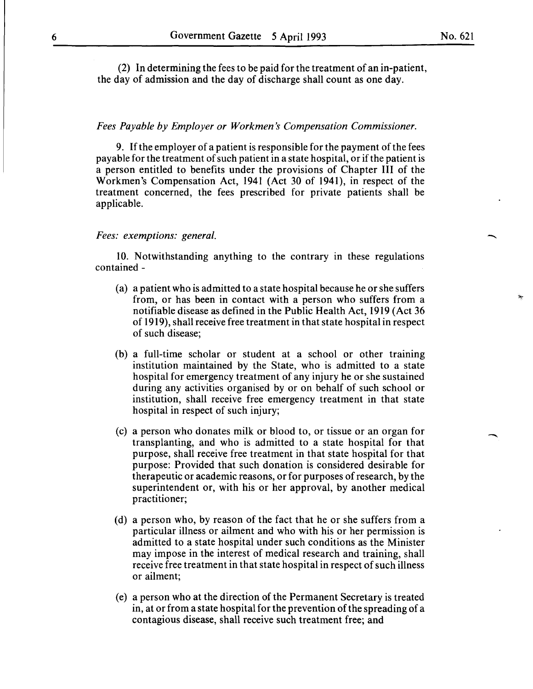(2) In determining the fees to be paid for the treatment of an in-patient, the day of admission and the day of discharge shall count as one day.

## *Fees Payable by Employer or Workmen's Compensation Commissioner.*

9. If the employer of a patient is responsible for the payment of the fees payable for the treatment of such patient in a state hospital, or if the patient is a person entitled to benefits under the provisions of Chapter III of the Workmen's Compensation Act, 1941 (Act 30 of 1941), in respect of the treatment concerned, the fees prescribed for private patients shall be applicable.

## *Fees: exemptions: general.*

10. Notwithstanding anything to the contrary in these regulations contained-

- (a) a patient who is admitted to a state hospital because he or she suffers from, or has been in contact with a person who suffers from a notifiable disease as defined in the Public Health Act, 1919 (Act 36 of 1919), shall receive free treatment in that state hospital in respect of such disease;
- (b) a full-time scholar or student at a school or other training institution maintained by the State, who is admitted to a state hospital for emergency treatment of any injury he or she sustained during any activities organised by or on behalf of such school or institution, shall receive free emergency treatment in that state hospital in respect of such injury;
- (c) a person who donates milk or blood to, or tissue or an organ for transplanting, and who is admitted to a state hospital for that purpose, shall receive free treatment in that state hospital for that purpose: Provided that such donation is considered desirable for therapeutic or academic reasons, or for purposes of research, by the superintendent or, with his or her approval, by another medical practitioner;
- (d) a person who, by reason of the fact that he or she suffers from a particular illness or ailment and who with his or her permission is admitted to a state hospital under such conditions as the Minister may impose in the interest of medical research and training, shall receive free treatment in that state hospital in respect of such illness or ailment;
- (e) a person who at the direction of the Permanent Secretary is treated in, at or from a state hospital for the prevention of the spreading of a contagious disease, shall receive such treatment free; and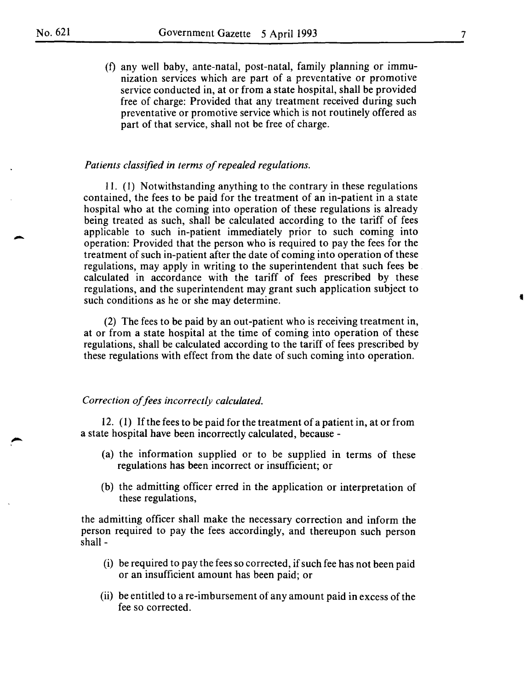(f) any well baby, ante-natal, post-natal, family planning or immunization services which are part of a preventative or promotive service conducted in, at or from a state hospital, shall be provided free of charge: Provided that any treatment received during such preventative or promotive service which is not routinely offered as part of that service, shall not be free of charge.

## *Patients classified in terms of repealed regulations.*

11. ( 1) Notwithstanding anything to the contrary in these regulations contained, the fees to be paid for the treatment of an in-patient in a state hospital who at the coming into operation of these regulations is already being treated as such, shall be calculated according to the tariff of fees applicable to such in-patient immediately prior to such coming into operation: Provided that the person who is required to pay the fees for the treatment of such in-patient after the date of coming into operation of these regulations, may apply in writing to the superintendent that such fees be calculated in accordance with the tariff of fees prescribed by these regulations, and the superintendent may grant such application subject to such conditions as he or she may determine.

(2) The fees to be paid by an out-patient who is receiving treatment in, at or from a state hospital at the time of coming into operation of these regulations, shall be calculated according to the tariff of fees prescribed by these regulations with effect from the date of such coming into operation.

## *Correction of fees incorrectly calculated.*

12. ( 1) If the fees to be paid for the treatment of a patient in, at or from a state hospital have been incorrectly calculated, because -

- (a) the information supplied or to be supplied in terms of these regulations has been incorrect or insufficient; or
- (b) the admitting officer erred in the application or interpretation of these regulations,

the admitting officer shall make the necessary correction and inform the person required to pay the fees accordingly, and thereupon such person shall-

- (i) be required to pay the fees so corrected, if such fee has not been paid or an insufficient amount has been paid; or
- (ii) be entitled to a re-imbursement of any amount paid in excess of the fee so corrected.

•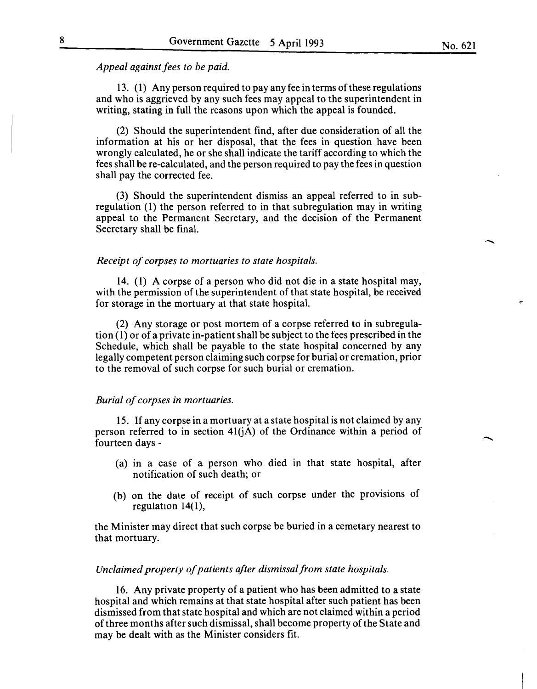## *Appeal against fees to be paid.*

13. ( 1) Any person required to pay any fee in terms of these regulations and who is aggrieved by any such fees may appeal to the superintendent in writing, stating in full the reasons upon which the appeal is founded.

(2) Should the superintendent find, after due consideration of all the information at his or her disposal, that the fees in question have been wrongly calculated, he or she shall indicate the tariff according to which the fees shall be re-calculated, and the person required to pay the fees in question shall pay the corrected fee.

(3) Should the superintendent dismiss an appeal referred to in subregulation (1) the person referred to in that subregulation may in writing appeal to the Permanent Secretary, and the decision of the Permanent Secretary shall be final.

#### *Receipt of corpses to mortuaries to state hospitals.*

14. (1) A corpse of a person who did not die in a state hospital may, with the permission of the superintendent of that state hospital, be received for storage in the mortuary at that state hospital.

(2) Any storage or post mortem of a corpse referred to in subregulation ( 1) or of a private in-patient shall be subject to the fees prescribed in the Schedule, which shall be payable to the state hospital concerned by any legally competent person claiming such corpse for burial or cremation, prior to the removal of such corpse for such burial or cremation.

## *Burial of corpses in mortuaries.*

15. If any corpse in a mortuary at a state hospital is not claimed by any person referred to in section  $41(j)$  of the Ordinance within a period of fourteen days -

- (a) in a case of a person who died in that state hospital, after notification of such death; or
- (b) on the date of receipt of such corpse under the provisions of regulation 14(1),

the Minister may direct that such corpse be buried in a cemetary nearest to that mortuary.

## *Unclaimed property of patients after dismissal from state hospitals.*

16. Any private property of a patient who has been admitted to a state hospital and which remains at that state hospital after such patient has been dismissed from that state hospital and which are not claimed within a period of three months after such dismissal, shall become property of the State and may be dealt with as the Minister considers fit.

-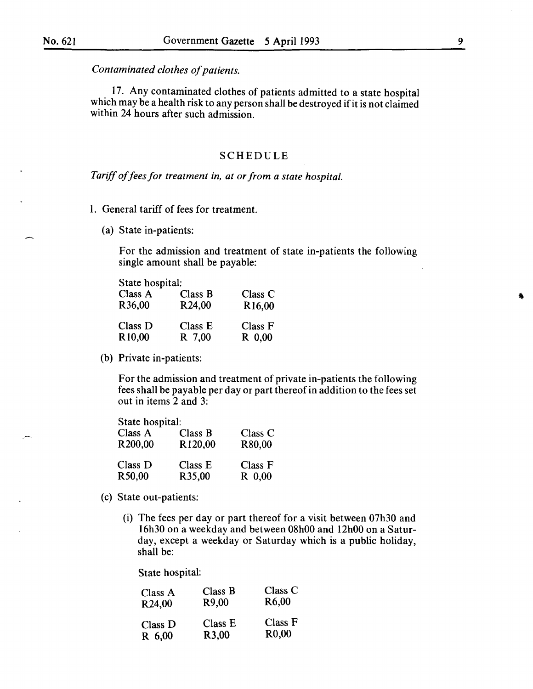*Contaminated clothes of patients.* 

17. Any contaminated clothes of patients admitted to a state hospital which may be a health risk to any person shall be destroyed if it is not claimed within 24 hours after such admission.

## SCHEDULE

*Tariff of fees for treatment in, at or from a state hospital.* 

- I. General tariff of fees for treatment.
	- (a) State in-patients:

For the admission and treatment of state in-patients the following single amount shall be payable:

| State hospital:    |                     |                     |
|--------------------|---------------------|---------------------|
| Class A            | Class B             | Class C             |
| R36,00             | R <sub>24</sub> ,00 | R <sub>16</sub> ,00 |
| Class D            | Class E             | Class F             |
| R <sub>10,00</sub> | R 7,00              | $R$ 0,00            |

(b) Private in-patients:

For the admission and treatment of private in-patients the following fees shall be payable per day or part thereof in addition to the fees set out in items 2 and 3:

| State hospital:     |         |          |
|---------------------|---------|----------|
| Class A             | Class B | Class C  |
| R <sub>200,00</sub> | R120,00 | R80,00   |
| Class D             | Class E | Class F  |
| R50,00              | R35,00  | $R$ 0.00 |

- (c) State out-patients:
	- (i) The fees per day or part thereof for a visit between 07h30 and 16h30 on a weekday and between 08h00 and 12h00 on a Saturday, except a weekday or Saturday which is a public holiday, shall be:

State hospital:

| Class A    | Class B            | Class C            |
|------------|--------------------|--------------------|
| R24,00     | R9.00              | R <sub>6</sub> ,00 |
| Class D    | Class E            | Class F            |
| $R_{0.00}$ | R <sub>3</sub> ,00 | R <sub>0</sub> ,00 |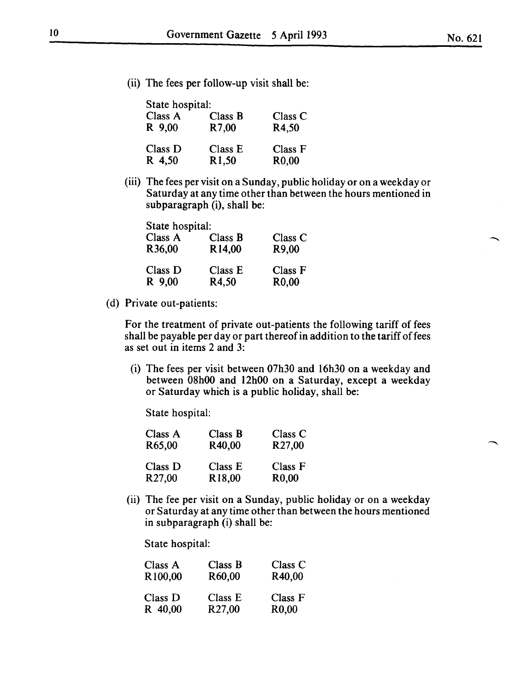(ii) The fees per follow-up visit shall be:

| State hospital: |                    |                    |
|-----------------|--------------------|--------------------|
| Class A         | Class B            | Class C            |
| R 9,00          | R7,00              | R4,50              |
| Class D         | Class E            | Class F            |
| R 4,50          | R <sub>1</sub> ,50 | R <sub>0</sub> ,00 |

(iii) The fees per visit on a Sunday, public holiday or on a weekday or Saturday at any time other than between the hours mentioned in subparagraph (i), shall be:

| State hospital:     |                    |                    |
|---------------------|--------------------|--------------------|
| Class A             | Class B            | Class C            |
| R <sub>36</sub> ,00 | R <sub>14,00</sub> | R9,00              |
| Class D             | Class E            | Class F            |
| R 9,00              | R4.50              | R <sub>0</sub> ,00 |

(d) Private out-patients:

For the treatment of private out-patients the following tariff of fees shall be payable per day or part thereof in addition to the tariff of fees as set out in items 2 and 3:

(i) The fees per visit between 07h30 and 16h30 on a weekday and between 08h00 and 12h00 on a Saturday, except a weekday or Saturday which is a public holiday, shall be:

State hospital:

| Class A            | Class B            | Class C            |
|--------------------|--------------------|--------------------|
| R65,00             | R40,00             | R <sub>27,00</sub> |
| Class D            | Class E            | Class F            |
| R <sub>27,00</sub> | R <sub>18,00</sub> | R <sub>0</sub> ,00 |

(ii) The fee per visit on a Sunday, public holiday or on a weekday or Saturday at any time other than between the hours mentioned in subparagraph (i) shall be:

State hospital:

| Class A             | Class B             | Class C            |
|---------------------|---------------------|--------------------|
| R <sub>100.00</sub> | R60,00              | R40,00             |
| Class D             | Class E             | Class F            |
| R 40,00             | R <sub>27</sub> ,00 | R <sub>0</sub> ,00 |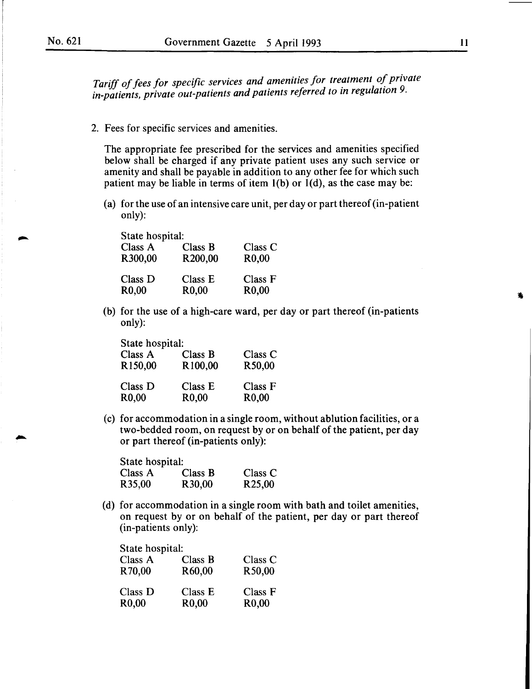Tariff of fees for specific services and amenities for treatment of private in-patients, private out-patients and patients referred to in regulation 9.

2. Fees for specific services and amenities.

The appropriate fee prescribed for the services and amenities specified below shall be charged if any private patient uses any such service or amenity and shall be payable in addition to any other fee for which such patient may be liable in terms of item  $l(b)$  or  $l(d)$ , as the case may be:

(a) for the use of an intensive care unit, per day or part thereof (in-patient only):

| State hospital:               |                               |
|-------------------------------|-------------------------------|
| Class B                       | Class C                       |
| R200,00                       | R <sub>0</sub> ,00            |
| Class E<br>R <sub>0</sub> ,00 | Class F<br>R <sub>0</sub> ,00 |
|                               |                               |

(b) for the use of a high-care ward, per day or part thereof (in-patients only):

| State hospital:               |                               |                               |
|-------------------------------|-------------------------------|-------------------------------|
| Class A                       | Class B                       | Class C                       |
| R <sub>150,00</sub>           | R100,00                       | R50,00                        |
| Class D<br>R <sub>0</sub> ,00 | Class E<br>R <sub>0</sub> ,00 | Class F<br>R <sub>0</sub> ,00 |

(c) for accommodation in a single room, without ablution facilities, or a two-bedded room, on request by or on behalf of the patient, per day or part thereof (in-patients only):

| State hospital:     |                     |                     |
|---------------------|---------------------|---------------------|
| Class A             | Class B             | Class C             |
| R <sub>35</sub> ,00 | R <sub>30</sub> ,00 | R <sub>25</sub> ,00 |

(d) for accommodation in a single room with bath and toilet amenities, on request by or on behalf of the patient, per day or part thereof (in-patients only):

| State hospital:    |                    |                    |
|--------------------|--------------------|--------------------|
| Class A            | Class B            | Class C            |
| R70.00             | R60,00             | R50,00             |
| Class D            | Class E            | Class F            |
| R <sub>0</sub> ,00 | R <sub>0</sub> ,00 | R <sub>0</sub> ,00 |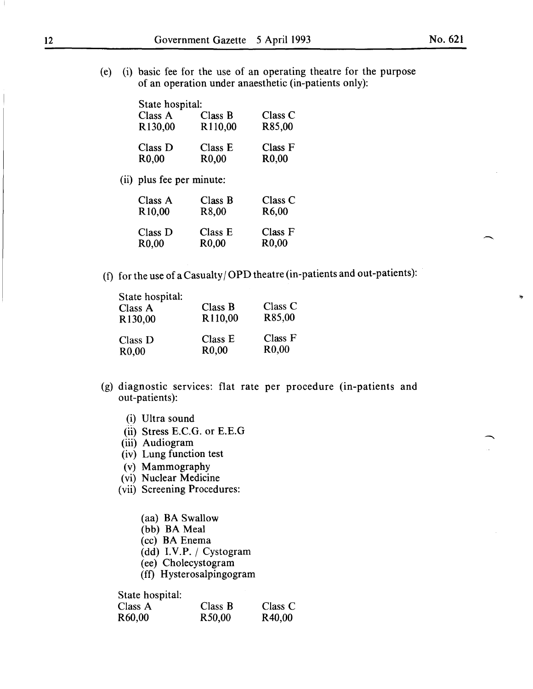(e) (i) basic fee for the use of an operating theatre for the purpose of an operation under anaesthetic (in-patients only):

| State hospital:     |                    |                    |
|---------------------|--------------------|--------------------|
| Class A             | Class B            | Class C            |
| R <sub>130,00</sub> | R110,00            | R85,00             |
| Class D             | Class E            | Class F            |
| R <sub>0</sub> ,00  | R <sub>0</sub> ,00 | R <sub>0</sub> ,00 |

(ii) plus fee per minute:

| Class A            | Class B            | Class C            |
|--------------------|--------------------|--------------------|
| R <sub>10,00</sub> | R <sub>8</sub> ,00 | R <sub>6</sub> ,00 |
| Class D            | Class E            | Class F            |
| R <sub>0</sub> ,00 | R <sub>0</sub> ,00 | R <sub>0</sub> ,00 |

(f) for the use of a Casualty  $\overline{OPD}$  theatre (in-patients and out-patients):

| State hospital:<br>Class A<br>R130,00 | Class B<br>R110,00 | Class C<br>R85,00  |
|---------------------------------------|--------------------|--------------------|
| Class D                               | Class E            | Class F            |
| R <sub>0</sub> ,00                    | R <sub>0</sub> ,00 | R <sub>0</sub> ,00 |

- (g) diagnostic services: flat rate per procedure (in-patients and out-patients):
	- (i) Ultra sound
	- (ii) Stress E.C.G. or E.E.G
	- (iii) Audiogram
	- (iv) Lung function test
	- (v) Mammography
	- (vi) Nuclear Medicine
	- (vii) Screening Procedures:
		- (aa) BA Swallow
		- (bb) BA Meal
		- (cc) BA Enema
		- $(dd)$  I.V.P. / Cystogram
		- ( ee) Cholecystogram
		- (ff) Hysterosalpingogram

State hospital:

| Class A             | Class B | Class $C$           |
|---------------------|---------|---------------------|
| R <sub>60</sub> ,00 | R50,00  | R <sub>40</sub> ,00 |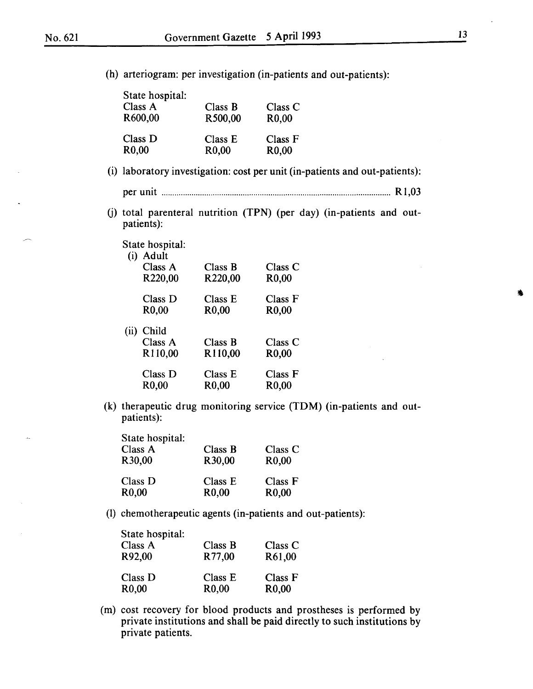(h) arteriogram: per investigation (in-patients and out-patients):

| State hospital:    |                    |                    |
|--------------------|--------------------|--------------------|
| Class A            | Class B            | Class C            |
| R600,00            | R500,00            | R <sub>0</sub> ,00 |
| Class D            | Class E            | Class F            |
| R <sub>0</sub> ,00 | R <sub>0</sub> ,00 | R <sub>0</sub> ,00 |

(i) laboratory investigation: cost per unit (in-patients and out-patients):

per unit ........................................................................................................... R1,03

(j) total parenteral nutrition (TPN) (per day) (in-patients and outpatients):

|      | State hospital:               |                               |                               |
|------|-------------------------------|-------------------------------|-------------------------------|
|      | (i) Adult                     |                               |                               |
|      | Class A                       | Class B                       | Class C                       |
|      | R <sub>220,00</sub>           | R <sub>220</sub> ,00          | R <sub>0</sub> ,00            |
|      | Class D                       | Class E                       | Class F                       |
|      | R <sub>0</sub> ,00            | R <sub>0</sub> ,00            | R <sub>0</sub> ,00            |
| (ii) | Child                         |                               |                               |
|      | Class A                       | Class B                       | Class C                       |
|      | R110,00                       | R <sub>110,00</sub>           | R <sub>0</sub> ,00            |
|      | Class D<br>R <sub>0</sub> ,00 | Class E<br>R <sub>0</sub> ,00 | Class F<br>R <sub>0</sub> ,00 |
|      |                               |                               |                               |

(k) therapeutic drug monitoring service (TDM) (in-patients and outpatients):

| State hospital:    |                    |                    |
|--------------------|--------------------|--------------------|
| Class A            | Class B            | Class C            |
| R30,00             | R30,00             | R <sub>0</sub> ,00 |
| Class D            | Class E            | Class F            |
| R <sub>0</sub> ,00 | R <sub>0</sub> ,00 | R <sub>0</sub> ,00 |

(1) chemotherapeutic agents (in-patients and out-patients):

| State hospital:<br>Class A<br>R92,00 | Class B<br>R77,00  | Class C<br>R61,00  |
|--------------------------------------|--------------------|--------------------|
| Class D                              | Class E            | Class F            |
| R <sub>0</sub> ,00                   | R <sub>0</sub> ,00 | R <sub>0</sub> ,00 |

(m) cost recovery for blood products and prostheses is performed by private institutions and shall be paid directly to such institutions by private patients.

•